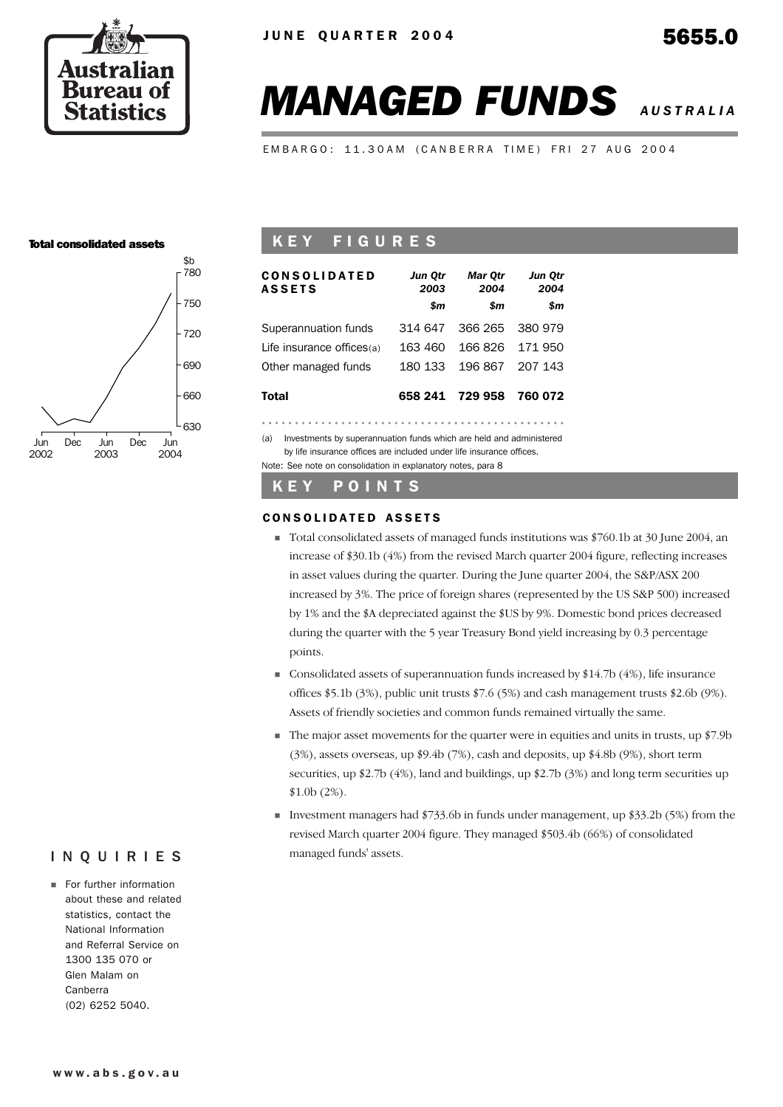

# *MANAGED FUNDS AUSTRALIA*

EMBARGO: 11.30AM (CANBERRA TIME) FRI 27 AUG 2004

#### Total consolidated assets



## K E Y F I G U R E S

| <b>CONSOLIDATED</b><br><b>ASSETS</b>                                       | Jun Qtr<br>2003 | Mar Otr<br>2004 | Jun Qtr<br>2004 |
|----------------------------------------------------------------------------|-----------------|-----------------|-----------------|
|                                                                            | \$m             | \$m             | \$m             |
| Superannuation funds                                                       | 314 647         | 366 265         | 380 979         |
| Life insurance offices(a)                                                  | 163 460         | 166826          | 171950          |
| Other managed funds                                                        | 180 133         | 196 867         | 207 143         |
| <b>Total</b>                                                               | 658 241         | 729 958         | 760 072         |
|                                                                            |                 |                 |                 |
| Investments by superannuation funds which are held and administered<br>(a) |                 |                 |                 |

Investments by superannuation funds which are held and administerby life insurance offices are included under life insurance offices. Note: See note on consolidation in explanatory notes, para 8

#### K E Y P O I N T S

#### CONSOLIDATED ASSETS

- ! Total consolidated assets of managed funds institutions was \$760.1b at 30 June 2004, an increase of \$30.1b (4%) from the revised March quarter 2004 figure, reflecting increases in asset values during the quarter. During the June quarter 2004, the S&P/ASX 200 increased by 3%. The price of foreign shares (represented by the US S&P 500) increased by 1% and the \$A depreciated against the \$US by 9%. Domestic bond prices decreased during the quarter with the 5 year Treasury Bond yield increasing by 0.3 percentage points.
- $\blacksquare$  Consolidated assets of superannuation funds increased by \$14.7b (4%), life insurance offices \$5.1b (3%), public unit trusts \$7.6 (5%) and cash management trusts \$2.6b (9%). Assets of friendly societies and common funds remained virtually the same.
- ! The major asset movements for the quarter were in equities and units in trusts, up \$7.9b (3%), assets overseas, up \$9.4b (7%), cash and deposits, up \$4.8b (9%), short term securities, up \$2.7b (4%), land and buildings, up \$2.7b (3%) and long term securities up \$1.0b (2%).
- **I**nvestment managers had  $$733.6b$  in funds under management, up  $$33.2b$  (5%) from the revised March quarter 2004 figure. They managed \$503.4b (66%) of consolidated managed funds' assets.

## INQUIRIES

**For further information** about these and related statistics, contact the National Information and Referral Service on 1300 135 070 or Glen Malam on Canberra (02) 6252 5040.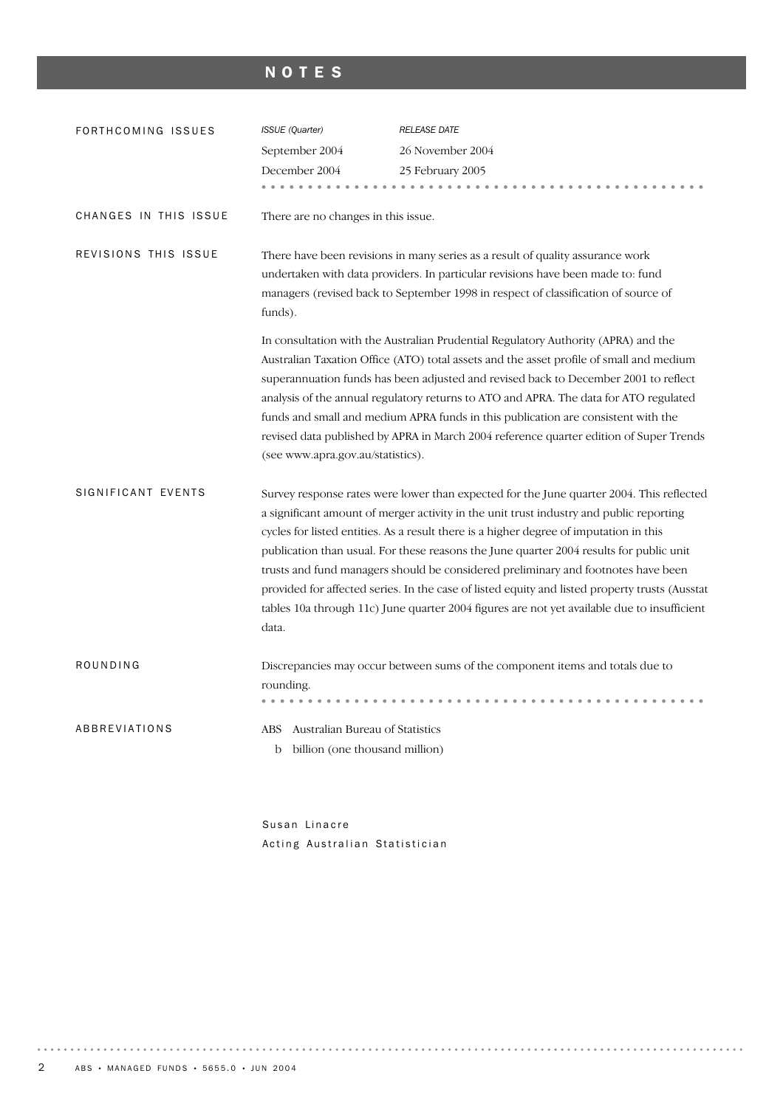## NOTES

| FORTHCOMING ISSUES    | <b>ISSUE</b> (Quarter)                                                        | <b>RELEASE DATE</b>                                                                                                                                                                                                                                                                                                                                                                                                                                                                                                                                                                                                                                            |
|-----------------------|-------------------------------------------------------------------------------|----------------------------------------------------------------------------------------------------------------------------------------------------------------------------------------------------------------------------------------------------------------------------------------------------------------------------------------------------------------------------------------------------------------------------------------------------------------------------------------------------------------------------------------------------------------------------------------------------------------------------------------------------------------|
|                       | September 2004                                                                | 26 November 2004                                                                                                                                                                                                                                                                                                                                                                                                                                                                                                                                                                                                                                               |
|                       | December 2004                                                                 | 25 February 2005                                                                                                                                                                                                                                                                                                                                                                                                                                                                                                                                                                                                                                               |
|                       | .                                                                             |                                                                                                                                                                                                                                                                                                                                                                                                                                                                                                                                                                                                                                                                |
| CHANGES IN THIS ISSUE | There are no changes in this issue.                                           |                                                                                                                                                                                                                                                                                                                                                                                                                                                                                                                                                                                                                                                                |
| REVISIONS THIS ISSUE  |                                                                               | There have been revisions in many series as a result of quality assurance work<br>undertaken with data providers. In particular revisions have been made to: fund                                                                                                                                                                                                                                                                                                                                                                                                                                                                                              |
|                       | funds).                                                                       | managers (revised back to September 1998 in respect of classification of source of                                                                                                                                                                                                                                                                                                                                                                                                                                                                                                                                                                             |
|                       | (see www.apra.gov.au/statistics).                                             | In consultation with the Australian Prudential Regulatory Authority (APRA) and the<br>Australian Taxation Office (ATO) total assets and the asset profile of small and medium<br>superannuation funds has been adjusted and revised back to December 2001 to reflect<br>analysis of the annual regulatory returns to ATO and APRA. The data for ATO regulated<br>funds and small and medium APRA funds in this publication are consistent with the<br>revised data published by APRA in March 2004 reference quarter edition of Super Trends                                                                                                                   |
| SIGNIFICANT EVENTS    | data.                                                                         | Survey response rates were lower than expected for the June quarter 2004. This reflected<br>a significant amount of merger activity in the unit trust industry and public reporting<br>cycles for listed entities. As a result there is a higher degree of imputation in this<br>publication than usual. For these reasons the June quarter 2004 results for public unit<br>trusts and fund managers should be considered preliminary and footnotes have been<br>provided for affected series. In the case of listed equity and listed property trusts (Ausstat<br>tables 10a through 11c) June quarter 2004 figures are not yet available due to insufficient |
| ROUNDING              | rounding.                                                                     | Discrepancies may occur between sums of the component items and totals due to                                                                                                                                                                                                                                                                                                                                                                                                                                                                                                                                                                                  |
| ABBREVIATIONS         | Australian Bureau of Statistics<br>ABS<br>billion (one thousand million)<br>b |                                                                                                                                                                                                                                                                                                                                                                                                                                                                                                                                                                                                                                                                |

Susan Linacre Acting Australian Statistician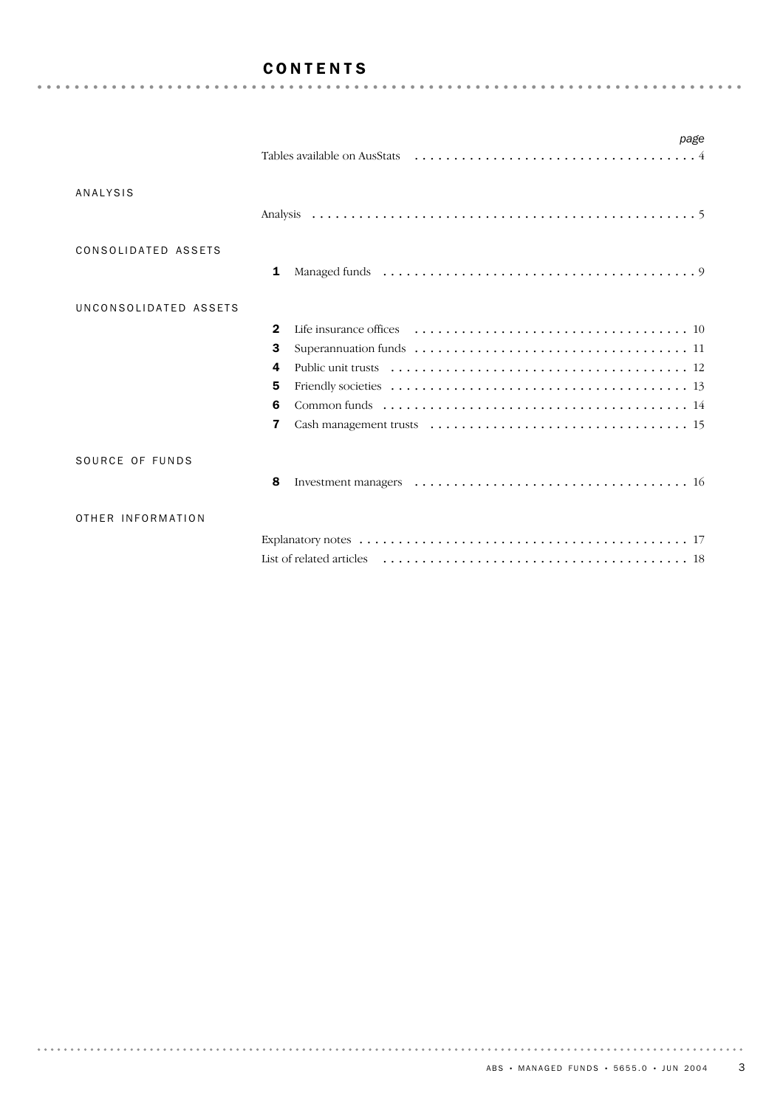## CONTENTS

|                       | page                                 |
|-----------------------|--------------------------------------|
| <b>ANALYSIS</b>       |                                      |
| CONSOLIDATED ASSETS   | 1                                    |
| UNCONSOLIDATED ASSETS | $\mathbf 2$<br>3<br>4<br>5<br>6<br>7 |
| SOURCE OF FUNDS       | 8                                    |
| OTHER INFORMATION     |                                      |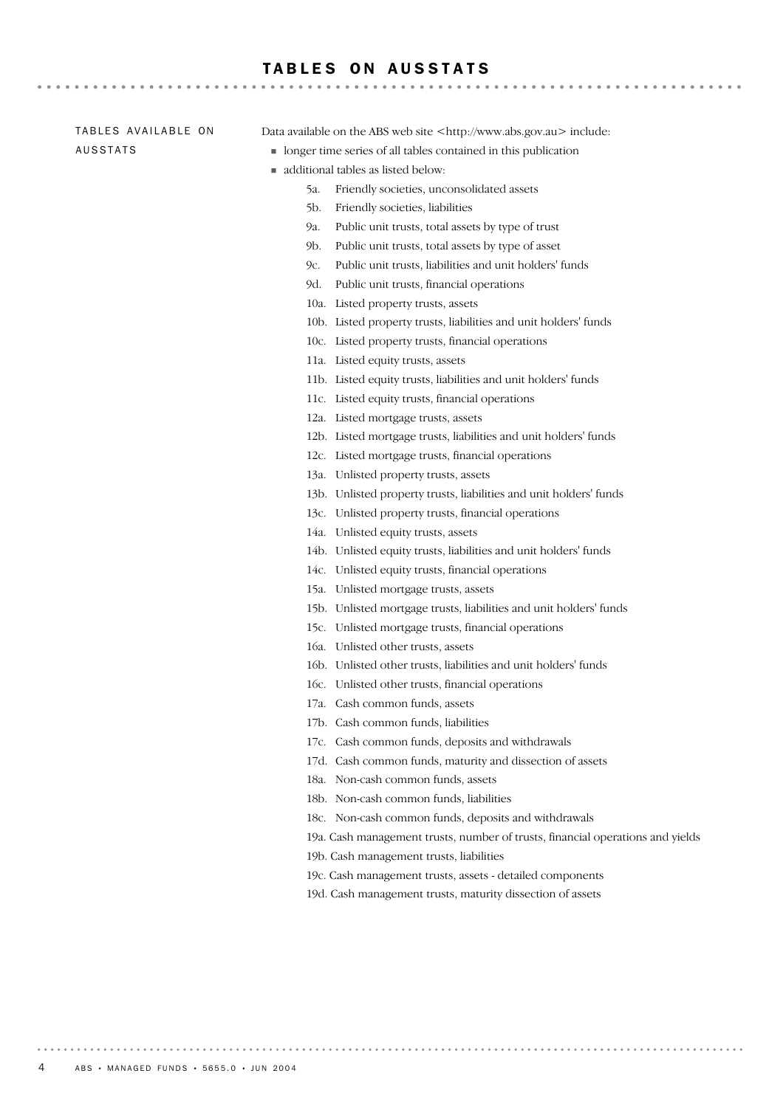#### TABLES ON AUSSTATS

TABLES AVAILABLE ON AUSSTATS

Data available on the ABS web site <http://www.abs.gov.au> include:

- ! longer time series of all tables contained in this publication
- ! additional tables as listed below:
	- 5a. Friendly societies, unconsolidated assets
	- 5b. Friendly societies, liabilities
	- 9a. Public unit trusts, total assets by type of trust
	- 9b. Public unit trusts, total assets by type of asset
	- 9c. Public unit trusts, liabilities and unit holders' funds
	- 9d. Public unit trusts, financial operations
	- 10a. Listed property trusts, assets
	- 10b. Listed property trusts, liabilities and unit holders' funds
	- 10c. Listed property trusts, financial operations
	- 11a. Listed equity trusts, assets
	- 11b. Listed equity trusts, liabilities and unit holders' funds
	- 11c. Listed equity trusts, financial operations
	- 12a. Listed mortgage trusts, assets
	- 12b. Listed mortgage trusts, liabilities and unit holders' funds
	- 12c. Listed mortgage trusts, financial operations
	- 13a. Unlisted property trusts, assets
	- 13b. Unlisted property trusts, liabilities and unit holders' funds
	- 13c. Unlisted property trusts, financial operations
	- 14a. Unlisted equity trusts, assets
	- 14b. Unlisted equity trusts, liabilities and unit holders' funds
	- 14c. Unlisted equity trusts, financial operations
	- 15a. Unlisted mortgage trusts, assets
	- 15b. Unlisted mortgage trusts, liabilities and unit holders' funds
	- 15c. Unlisted mortgage trusts, financial operations
	- 16a. Unlisted other trusts, assets
	- 16b. Unlisted other trusts, liabilities and unit holders' funds
	- 16c. Unlisted other trusts, financial operations
	- 17a. Cash common funds, assets
	- 17b. Cash common funds, liabilities
	- 17c. Cash common funds, deposits and withdrawals
	- 17d. Cash common funds, maturity and dissection of assets
	- 18a. Non-cash common funds, assets
	- 18b. Non-cash common funds, liabilities
	- 18c. Non-cash common funds, deposits and withdrawals
	- 19a. Cash management trusts, number of trusts, financial operations and yields
	- 19b. Cash management trusts, liabilities
	- 19c. Cash management trusts, assets detailed components
	- 19d. Cash management trusts, maturity dissection of assets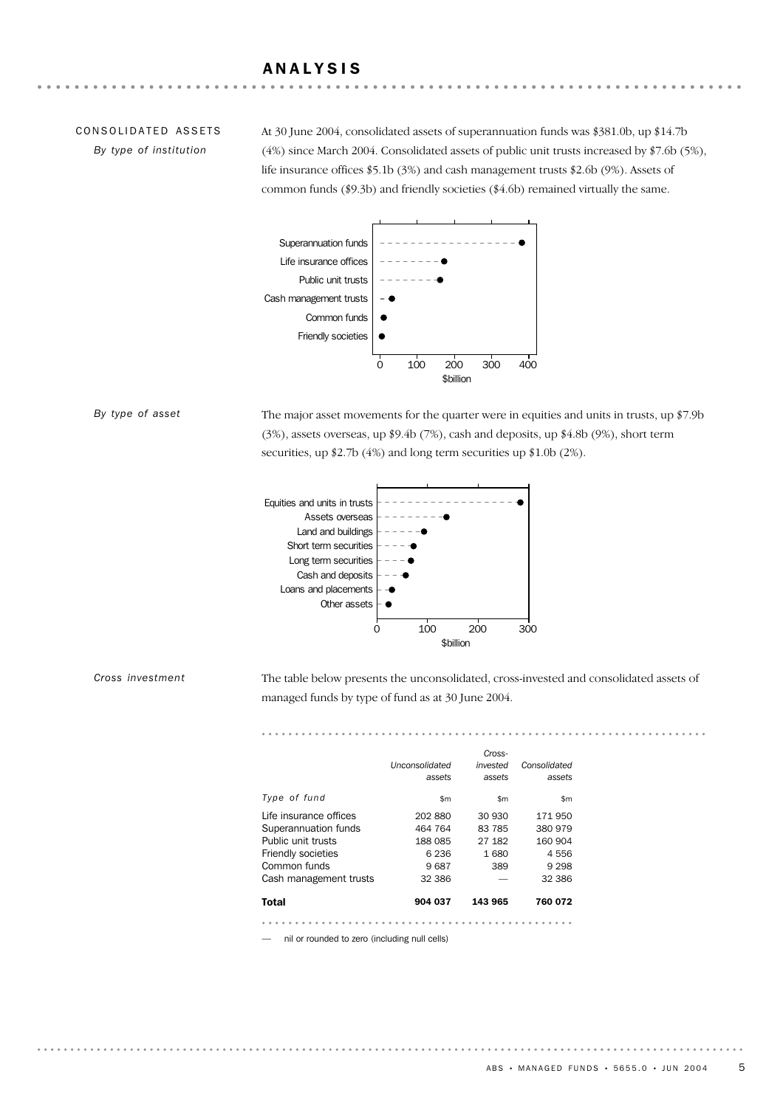## ANALYSIS

## CONSOLIDATED ASSETS

*By type of institution*

At 30 June 2004, consolidated assets of superannuation funds was \$381.0b, up \$14.7b (4%) since March 2004. Consolidated assets of public unit trusts increased by \$7.6b (5%), life insurance offices \$5.1b (3%) and cash management trusts \$2.6b (9%). Assets of common funds (\$9.3b) and friendly societies (\$4.6b) remained virtually the same.



#### *By type of asset*

The major asset movements for the quarter were in equities and units in trusts, up \$7.9b (3%), assets overseas, up \$9.4b (7%), cash and deposits, up \$4.8b (9%), short term securities, up \$2.7b (4%) and long term securities up \$1.0b (2%).



*Cross investment*

The table below presents the unconsolidated, cross-invested and consolidated assets of managed funds by type of fund as at 30 June 2004.

| Total                     | 904 037                  | 143 965            | 760 072                |
|---------------------------|--------------------------|--------------------|------------------------|
| Cash management trusts    | 32 386                   |                    | 32 386                 |
| Common funds              | 9687                     | 389                | 9 2 9 8                |
| <b>Friendly societies</b> | 6 2 3 6                  | 1680               | 4556                   |
| Public unit trusts        | 188 085                  | 27 182             | 160 904                |
| Superannuation funds      | 464 764                  | 83 785             | 380 979                |
| Life insurance offices    | 202880                   | 30 930             | 171 950                |
| Type of fund              | \$m\$                    | \$m                | \$m                    |
|                           | Unconsolidated<br>assets | invested<br>assets | Consolidated<br>assets |
|                           |                          | Cross-             |                        |
|                           |                          |                    |                        |

— nil or rounded to zero (including null cells)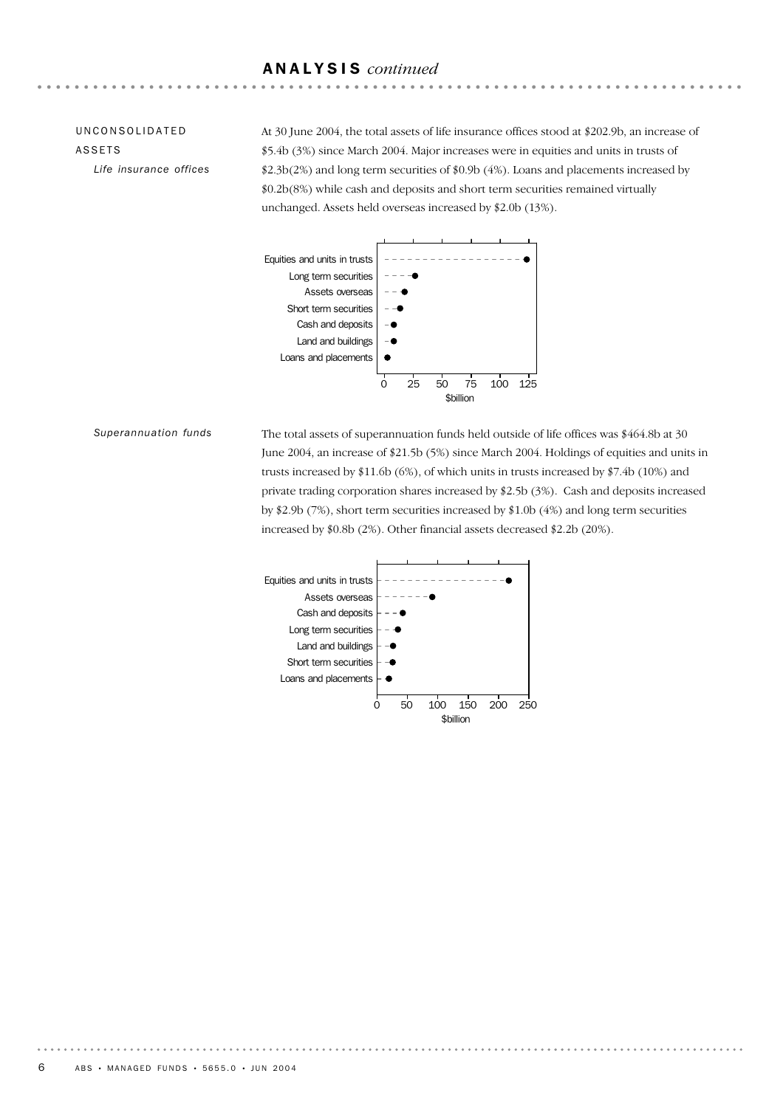## ANALYSIS *continued*

## UNCONSOLIDATED ASSETS

*Life insurance offices*

At 30 June 2004, the total assets of life insurance offices stood at \$202.9b, an increase of \$5.4b (3%) since March 2004. Major increases were in equities and units in trusts of \$2.3b(2%) and long term securities of \$0.9b (4%). Loans and placements increased by \$0.2b(8%) while cash and deposits and short term securities remained virtually unchanged. Assets held overseas increased by \$2.0b (13%).



*Superannuation funds*

The total assets of superannuation funds held outside of life offices was \$464.8b at 30 June 2004, an increase of \$21.5b (5%) since March 2004. Holdings of equities and units in trusts increased by \$11.6b (6%), of which units in trusts increased by \$7.4b (10%) and private trading corporation shares increased by \$2.5b (3%). Cash and deposits increased by \$2.9b (7%), short term securities increased by \$1.0b (4%) and long term securities increased by \$0.8b (2%). Other financial assets decreased \$2.2b (20%).

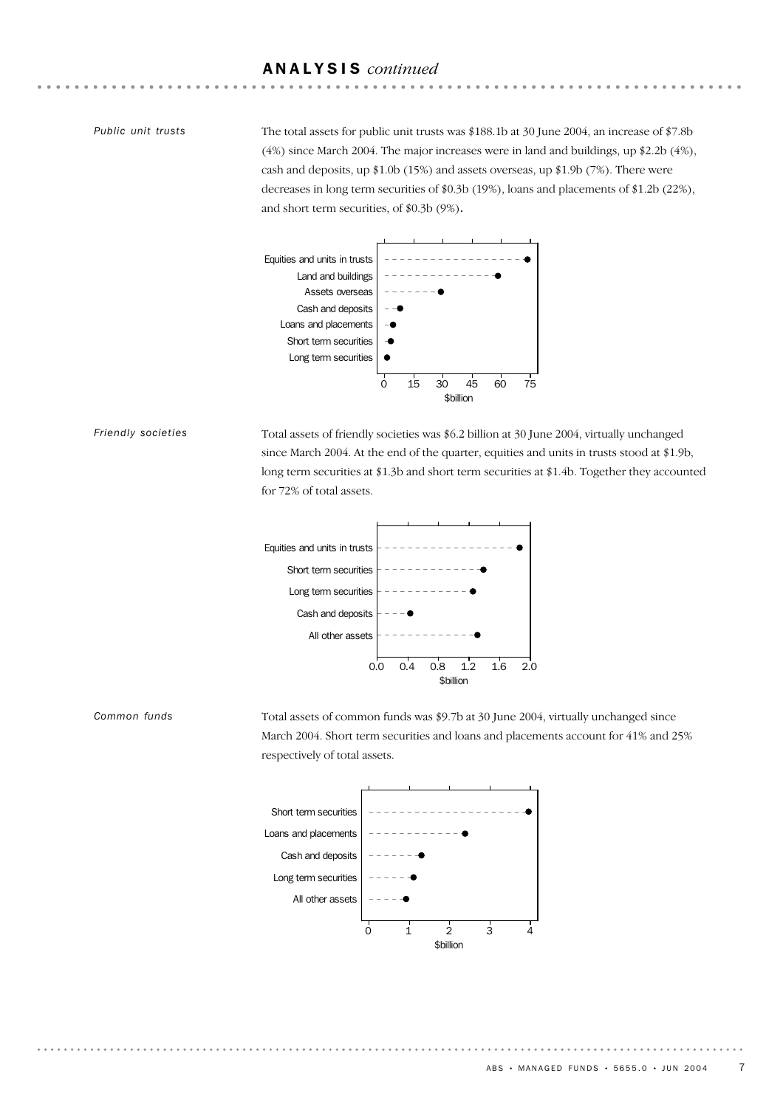## ANALYSIS *continued*

#### *Public unit trusts*

The total assets for public unit trusts was \$188.1b at 30 June 2004, an increase of \$7.8b (4%) since March 2004. The major increases were in land and buildings, up \$2.2b (4%), cash and deposits, up \$1.0b (15%) and assets overseas, up \$1.9b (7%). There were decreases in long term securities of \$0.3b (19%), loans and placements of \$1.2b (22%), and short term securities, of \$0.3b (9%).



#### *Friendly societies*

*Common funds*

Total assets of friendly societies was \$6.2 billion at 30 June 2004, virtually unchanged since March 2004. At the end of the quarter, equities and units in trusts stood at \$1.9b, long term securities at \$1.3b and short term securities at \$1.4b. Together they accounted for 72% of total assets.



Total assets of common funds was \$9.7b at 30 June 2004, virtually unchanged since March 2004. Short term securities and loans and placements account for 41% and 25% respectively of total assets.

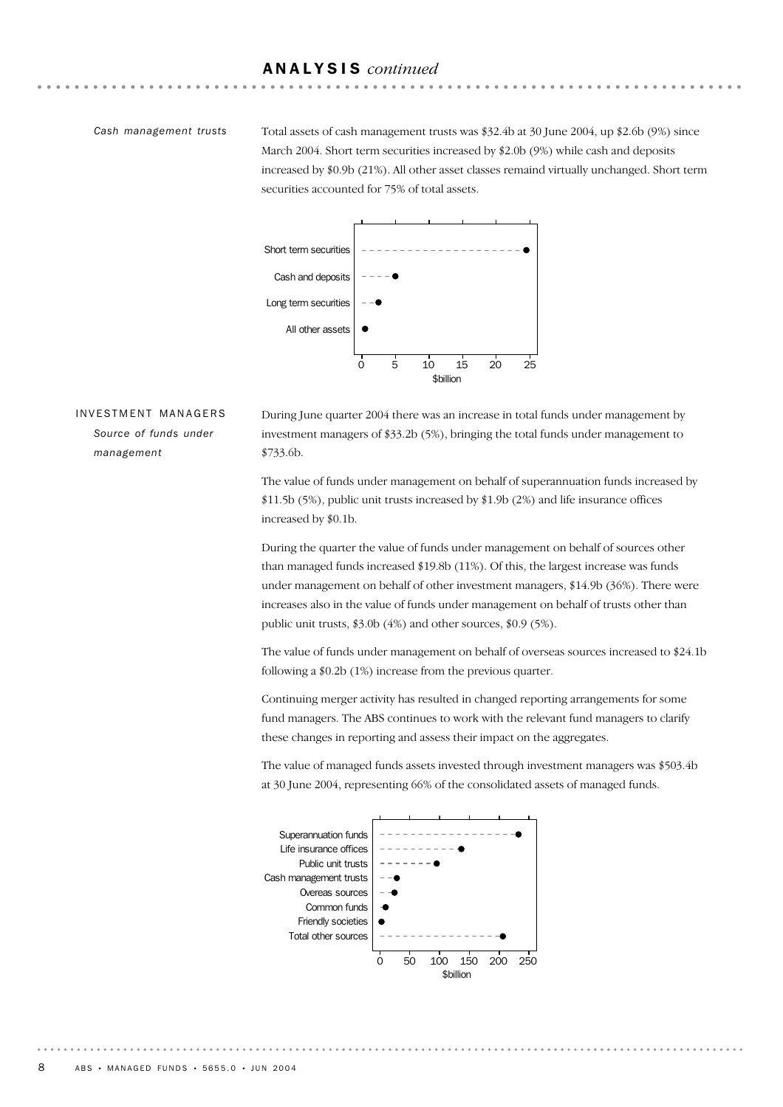## ANALYSIS *continued*

#### *Cash management trusts*

Total assets of cash management trusts was \$32.4b at 30 June 2004, up \$2.6b (9%) since March 2004. Short term securities increased by \$2.0b (9%) while cash and deposits increased by \$0.9b (21%). All other asset classes remaind virtually unchanged. Short term securities accounted for 75% of total assets.



## INVESTMENT MANAGERS *Source of funds under management*

During June quarter 2004 there was an increase in total funds under management by investment managers of \$33.2b (5%), bringing the total funds under management to \$733.6b.

The value of funds under management on behalf of superannuation funds increased by \$11.5b (5%), public unit trusts increased by \$1.9b (2%) and life insurance offices increased by \$0.1b.

During the quarter the value of funds under management on behalf of sources other than managed funds increased \$19.8b (11%). Of this, the largest increase was funds under management on behalf of other investment managers, \$14.9b (36%). There were increases also in the value of funds under management on behalf of trusts other than public unit trusts, \$3.0b (4%) and other sources, \$0.9 (5%).

The value of funds under management on behalf of overseas sources increased to \$24.1b following a \$0.2b (1%) increase from the previous quarter.

Continuing merger activity has resulted in changed reporting arrangements for some fund managers. The ABS continues to work with the relevant fund managers to clarify these changes in reporting and assess their impact on the aggregates.



The value of managed funds assets invested through investment managers was \$503.4b at 30 June 2004, representing 66% of the consolidated assets of managed funds.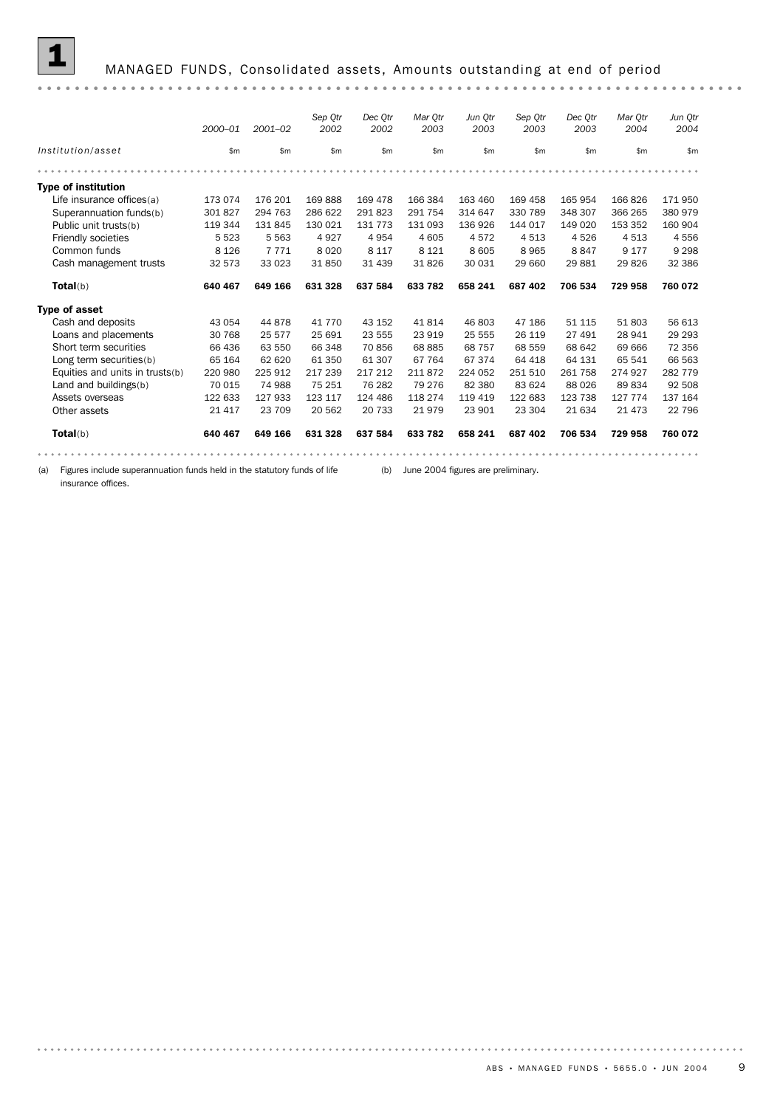## 1 MANAGED FUNDS, Consolidated assets, Amounts outstanding at end of period

|                                 | 2000-01 | $2001 - 02$ | Sep Otr<br>2002 | Dec Otr<br>2002 | Mar Otr<br>2003 | Jun Otr<br>2003 | Sep Otr<br>2003 | Dec Otr<br>2003 | Mar Otr<br>2004 | Jun Qtr<br>2004 |
|---------------------------------|---------|-------------|-----------------|-----------------|-----------------|-----------------|-----------------|-----------------|-----------------|-----------------|
| Institution/asset               | \$m\$   | \$m         | \$m             | \$m\$           | \$m\$           | \$m             | \$m             | \$m\$           | \$m             | \$m             |
|                                 |         |             |                 |                 |                 |                 |                 |                 |                 |                 |
| <b>Type of institution</b>      |         |             |                 |                 |                 |                 |                 |                 |                 |                 |
| Life insurance offices(a)       | 173 074 | 176 201     | 169888          | 169 478         | 166 384         | 163 460         | 169 458         | 165 954         | 166826          | 171950          |
| Superannuation funds(b)         | 301 827 | 294 763     | 286 622         | 291 823         | 291 754         | 314 647         | 330 789         | 348 307         | 366 265         | 380 979         |
| Public unit trusts(b)           | 119 344 | 131 845     | 130 021         | 131 773         | 131 093         | 136 926         | 144 017         | 149 020         | 153 352         | 160 904         |
| Friendly societies              | 5 5 2 3 | 5 5 6 3     | 4927            | 4954            | 4 6 0 5         | 4572            | 4513            | 4526            | 4513            | 4556            |
| Common funds                    | 8 1 2 6 | 7 7 7 1     | 8 0 2 0         | 8 1 1 7         | 8 1 2 1         | 8 6 0 5         | 8965            | 8847            | 9 1 7 7         | 9 2 9 8         |
| Cash management trusts          | 32 573  | 33 0 23     | 31 850          | 31 439          | 31 826          | 30 031          | 29 660          | 29 881          | 29 8 26         | 32 386          |
| Total(b)                        | 640 467 | 649 166     | 631 328         | 637 584         | 633 782         | 658 241         | 687 402         | 706 534         | 729 958         | 760 072         |
| <b>Type of asset</b>            |         |             |                 |                 |                 |                 |                 |                 |                 |                 |
| Cash and deposits               | 43 054  | 44 878      | 41 7 7 0        | 43 152          | 41814           | 46 803          | 47 186          | 51 115          | 51 803          | 56 613          |
| Loans and placements            | 30 768  | 25 577      | 25 691          | 23 555          | 23 919          | 25 555          | 26 119          | 27 491          | 28 941          | 29 2 9 3        |
| Short term securities           | 66 436  | 63 550      | 66 348          | 70 856          | 68 885          | 68 757          | 68 559          | 68 642          | 69 666          | 72 356          |
| Long term securities(b)         | 65 164  | 62 620      | 61 350          | 61 307          | 67 764          | 67374           | 64 418          | 64 131          | 65 541          | 66 563          |
| Equities and units in trusts(b) | 220 980 | 225 912     | 217 239         | 217 212         | 211872          | 224 052         | 251 510         | 261 758         | 274 927         | 282 779         |
| Land and buildings(b)           | 70 015  | 74 988      | 75 251          | 76 282          | 79 276          | 82 380          | 83 624          | 88 0 26         | 89834           | 92 508          |
| Assets overseas                 | 122 633 | 127 933     | 123 117         | 124 486         | 118 274         | 119 419         | 122 683         | 123 738         | 127 774         | 137 164         |
| Other assets                    | 21 4 17 | 23 709      | 20 562          | 20 733          | 21979           | 23 901          | 23 304          | 21 634          | 21 4 7 3        | 22 796          |
| Total(b)                        | 640 467 | 649 166     | 631 328         | 637 584         | 633 782         | 658 241         | 687 402         | 706 534         | 729 958         | 760 072         |
|                                 |         |             |                 |                 |                 |                 |                 |                 |                 |                 |

(a) Figures include superannuation funds held in the statutory funds of life (b) June 2004 figures are preliminary.

insurance offices.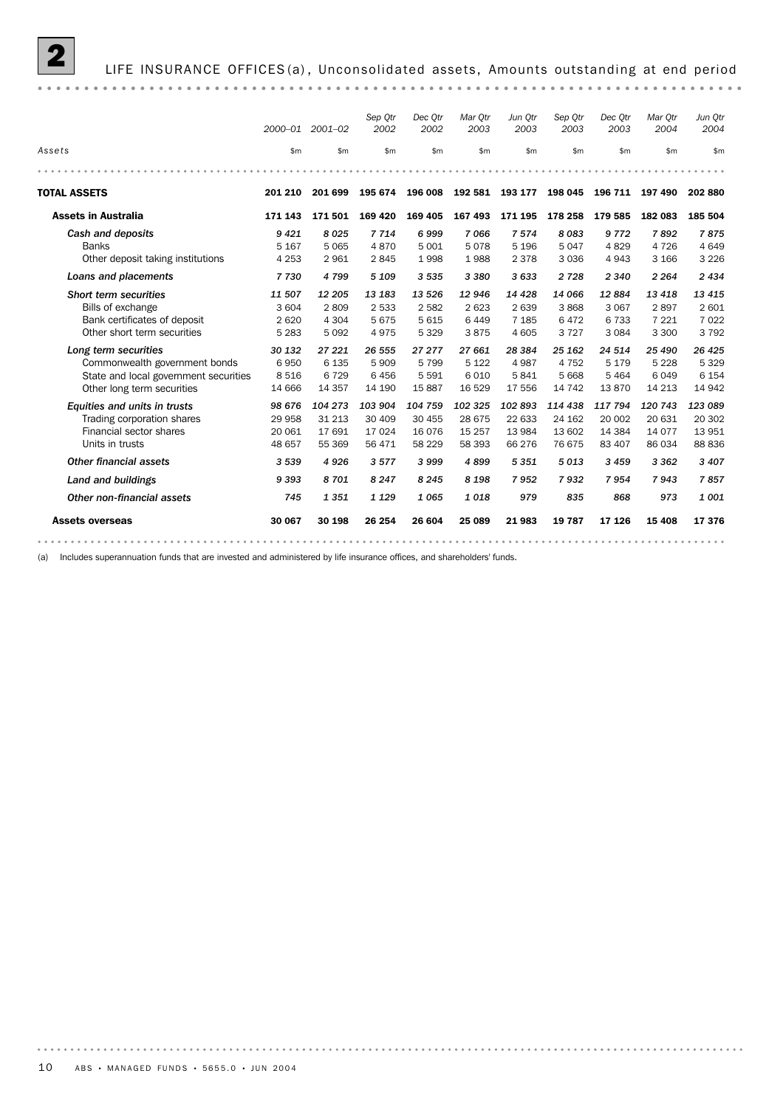

|                                                                                                                              |                                         | 2000-01 2001-02                       | Sep Otr<br>2002                        | Dec Otr<br>2002                          | Mar Otr<br>2003                       | Jun Otr<br>2003                       | Sep Qtr<br>2003                        | Dec Otr<br>2003                        | Mar Otr<br>2004                       | Jun Qtr<br>2004                         |
|------------------------------------------------------------------------------------------------------------------------------|-----------------------------------------|---------------------------------------|----------------------------------------|------------------------------------------|---------------------------------------|---------------------------------------|----------------------------------------|----------------------------------------|---------------------------------------|-----------------------------------------|
| Assets                                                                                                                       | \$m                                     | \$m\$                                 | \$m                                    | \$m\$                                    | \$m                                   | \$m\$                                 | \$m\$                                  | \$m\$                                  | \$m\$                                 | \$m                                     |
|                                                                                                                              |                                         |                                       |                                        |                                          |                                       |                                       |                                        |                                        |                                       |                                         |
| <b>TOTAL ASSETS</b>                                                                                                          | 201 210                                 | 201 699                               | 195 674                                | 196 008                                  | 192 581                               | 193 177                               | 198 045                                | 196 711                                | 197 490                               | 202 880                                 |
| <b>Assets in Australia</b>                                                                                                   | 171 143                                 | 171501                                | 169 420                                | 169 405                                  | 167 493                               | 171 195                               | 178 258                                | 179 585                                | 182 083                               | 185 504                                 |
| Cash and deposits                                                                                                            | 9421                                    | 8025                                  | 7714                                   | 6999                                     | 7066                                  | 7 5 7 4                               | 8083                                   | 9 7 7 2                                | 7892                                  | 7875                                    |
| <b>Banks</b><br>Other deposit taking institutions                                                                            | 5 1 6 7<br>4 2 5 3                      | 5 0 6 5<br>2 9 6 1                    | 4870<br>2845                           | 5 0 0 1<br>1998                          | 5078<br>1988                          | 5 1 9 6<br>2 3 7 8                    | 5047<br>3 0 3 6                        | 4829<br>4 9 4 3                        | 4 7 2 6<br>3 1 6 6                    | 4649<br>3 2 2 6                         |
| Loans and placements                                                                                                         | 7730                                    | 4 7 9 9                               | 5 1 0 9                                | 3 5 3 5                                  | 3 3 8 0                               | 3 633                                 | 2 7 2 8                                | 2 3 4 0                                | 2 2 6 4                               | 2434                                    |
| <b>Short term securities</b><br>Bills of exchange<br>Bank certificates of deposit<br>Other short term securities             | 11 507<br>3 6 0 4<br>2 6 2 0<br>5 2 8 3 | 12 205<br>2809<br>4 3 0 4<br>5 0 9 2  | 13 183<br>2 5 3 3<br>5675<br>4975      | 13 5 26<br>2582<br>5615<br>5329          | 12 946<br>2623<br>6449<br>3875        | 14 4 28<br>2639<br>7 1 8 5<br>4 6 0 5 | 14 066<br>3868<br>6472<br>3727         | 12884<br>3 0 6 7<br>6 7 3 3<br>3 0 8 4 | 13 4 18<br>2897<br>7 2 2 1<br>3 3 0 0 | 13 4 15<br>2 601<br>7 0 2 2<br>3792     |
| Long term securities<br>Commonwealth government bonds<br>State and local government securities<br>Other long term securities | 30 132<br>6950<br>8 5 1 6<br>14 666     | 27 221<br>6 1 3 5<br>6729<br>14 3 5 7 | 26 555<br>5909<br>6456<br>14 190       | 27 277<br>5799<br>5 5 9 1<br>15887       | 27 661<br>5 1 2 2<br>6010<br>16 5 29  | 28 3 84<br>4 9 8 7<br>5841<br>17 556  | 25 162<br>4 7 5 2<br>5 6 6 8<br>14 742 | 24 514<br>5 1 7 9<br>5 4 6 4<br>13870  | 25 490<br>5 2 2 8<br>6049<br>14 213   | 26 4 25<br>5 3 2 9<br>6 1 5 4<br>14 942 |
| Equities and units in trusts<br>Trading corporation shares<br>Financial sector shares<br>Units in trusts                     | 98 676<br>29 958<br>20 061<br>48 657    | 104 273<br>31 213<br>17 691<br>55 369 | 103 904<br>30 409<br>17 0 24<br>56 471 | 104 759<br>30 455<br>16 0 76<br>58 2 2 9 | 102 325<br>28 675<br>15 257<br>58 393 | 102893<br>22 633<br>13 984<br>66 276  | 114 438<br>24 162<br>13 602<br>76 675  | 117 794<br>20 002<br>14 3 84<br>83 407 | 120 743<br>20 631<br>14 077<br>86 034 | 123 089<br>20 302<br>13 951<br>88 836   |
| <b>Other financial assets</b>                                                                                                | 3 5 3 9                                 | 4926                                  | 3577                                   | 3999                                     | 4899                                  | 5 3 5 1                               | 5013                                   | 3 4 5 9                                | 3 3 6 2                               | 3 4 0 7                                 |
| Land and buildings                                                                                                           | 9393                                    | 8701                                  | 8 2 4 7                                | 8 2 4 5                                  | 8 1 9 8                               | 7952                                  | 7932                                   | 7954                                   | 7943                                  | 7857                                    |
| Other non-financial assets                                                                                                   | 745                                     | 1 3 5 1                               | 1 1 2 9                                | 1065                                     | 1018                                  | 979                                   | 835                                    | 868                                    | 973                                   | 1001                                    |
| <b>Assets overseas</b>                                                                                                       | 30 067                                  | 30 198                                | 26 254                                 | 26 604                                   | 25 089                                | 21983                                 | 19 787                                 | 17 126                                 | 15 4 08                               | 17376                                   |

(a) Includes superannuation funds that are invested and administered by life insurance offices, and shareholders' funds.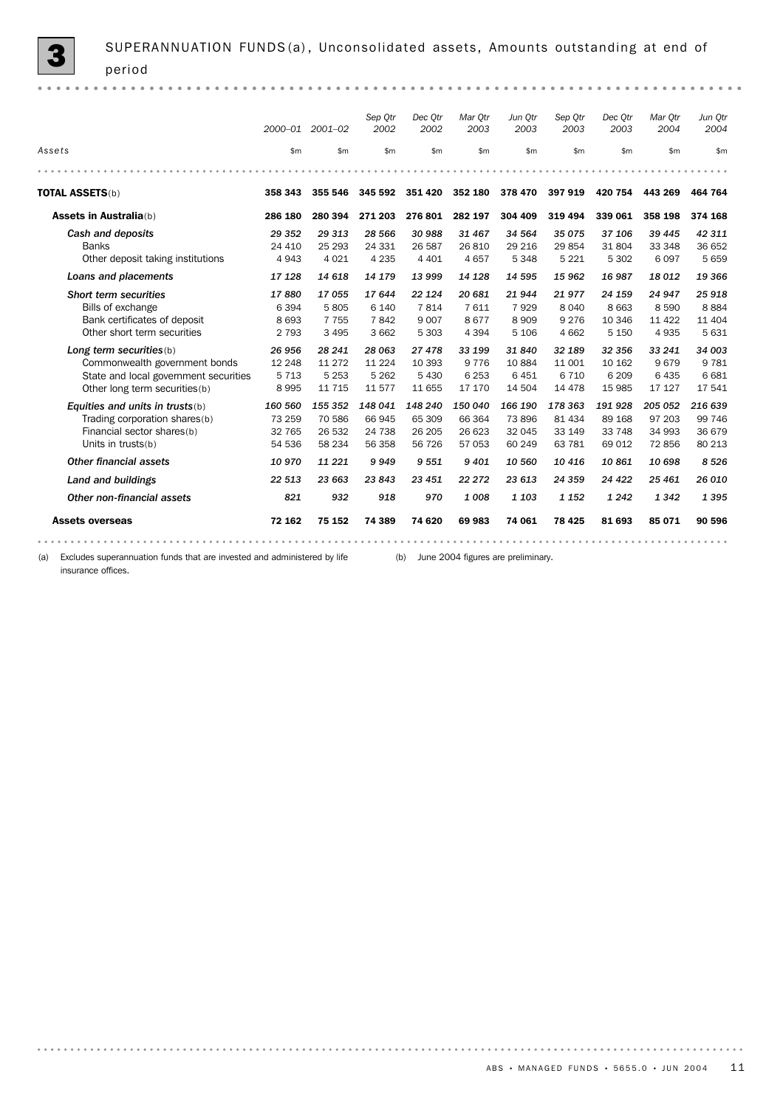|                                                                                                                                     |                                        | 2000-01 2001-02                          | Sep Otr<br>2002                        | Dec Otr<br>2002                       | Mar Otr<br>2003                        | Jun Otr<br>2003                      | Sep Otr<br>2003                        | Dec Otr<br>2003                        | Mar Otr<br>2004                         | Jun Otr<br>2004                       |
|-------------------------------------------------------------------------------------------------------------------------------------|----------------------------------------|------------------------------------------|----------------------------------------|---------------------------------------|----------------------------------------|--------------------------------------|----------------------------------------|----------------------------------------|-----------------------------------------|---------------------------------------|
| Assets                                                                                                                              | \$m\$                                  | \$m\$                                    | \$m                                    | \$m                                   | \$m\$                                  | \$m\$                                | \$m\$                                  | \$m\$                                  | \$m\$                                   | \$m                                   |
|                                                                                                                                     |                                        |                                          |                                        |                                       |                                        |                                      |                                        |                                        |                                         |                                       |
| <b>TOTAL ASSETS(b)</b>                                                                                                              | 358 343                                | 355 546                                  | 345 592                                | 351 420                               | 352 180                                | 378 470                              | 397919                                 | 420 754                                | 443 269                                 | 464 764                               |
| <b>Assets in Australia(b)</b>                                                                                                       | 286 180                                | 280 394                                  | 271 203                                | 276 801                               | 282 197                                | 304 409                              | 319 494                                | 339 061                                | 358 198                                 | 374 168                               |
| Cash and deposits<br><b>Banks</b><br>Other deposit taking institutions                                                              | 29 352<br>24 410<br>4 9 4 3            | 29 313<br>25 29 3<br>4 0 2 1             | 28 566<br>24 331<br>4 2 3 5            | 30 988<br>26 587<br>4 4 0 1           | 31 467<br>26810<br>4657                | 34 564<br>29 216<br>5 3 4 8          | 35 075<br>29 854<br>5 2 2 1            | 37 106<br>31 804<br>5 3 0 2            | 39 445<br>33 348<br>6 0 9 7             | 42 311<br>36 652<br>5659              |
| Loans and placements                                                                                                                | 17 128                                 | 14 618                                   | 14 179                                 | 13 999                                | 14 128                                 | 14 595                               | 15 962                                 | 16 987                                 | 18 012                                  | 19 366                                |
| Short term securities<br>Bills of exchange<br>Bank certificates of deposit<br>Other short term securities                           | 17880<br>6 3 9 4<br>8 6 9 3<br>2 7 9 3 | 17055<br>5805<br>7 7 5 5<br>3 4 9 5      | 17644<br>6 1 4 0<br>7842<br>3 6 6 2    | 22 1 24<br>7814<br>9 0 0 7<br>5 3 0 3 | 20 681<br>7611<br>8677<br>4 3 9 4      | 21944<br>7929<br>8909<br>5 1 0 6     | 21977<br>8 0 4 0<br>9 2 7 6<br>4 6 6 2 | 24 159<br>8 6 6 3<br>10 346<br>5 1 5 0 | 24 947<br>8 5 9 0<br>11 4 22<br>4 9 3 5 | 25 918<br>8884<br>11 404<br>5 6 3 1   |
| Long term securities (b)<br>Commonwealth government bonds<br>State and local government securities<br>Other long term securities(b) | 26 956<br>12 248<br>5 7 1 3<br>8995    | 28 24 1<br>11 27 2<br>5 2 5 3<br>11 7 15 | 28 063<br>11 2 2 4<br>5 2 6 2<br>11577 | 27 478<br>10 393<br>5 4 3 0<br>11 655 | 33 199<br>9 7 7 6<br>6 2 5 3<br>17 170 | 31840<br>10884<br>6451<br>14 504     | 32 189<br>11 001<br>6 7 1 0<br>14 4 78 | 32 356<br>10 162<br>6 2 0 9<br>15 985  | 33 241<br>9679<br>6 4 3 5<br>17 127     | 34 003<br>9 7 8 1<br>6 6 8 1<br>17541 |
| Equities and units in trusts $(b)$<br>Trading corporation shares(b)<br>Financial sector shares(b)<br>Units in trusts(b)             | 160 560<br>73 259<br>32 765<br>54 536  | 155 352<br>70 586<br>26 532<br>58 234    | 148 041<br>66 945<br>24 738<br>56 358  | 148 240<br>65 309<br>26 205<br>56 726 | 150 040<br>66 364<br>26 623<br>57 053  | 166 190<br>73896<br>32 045<br>60 249 | 178 363<br>81 434<br>33 149<br>63 781  | 191 928<br>89 168<br>33 748<br>69 012  | 205 052<br>97 203<br>34 993<br>72856    | 216 639<br>99 746<br>36 679<br>80 213 |
| Other financial assets                                                                                                              | 10970                                  | 11 221                                   | 9949                                   | 9 5 5 1                               | 9 4 0 1                                | 10 560                               | 10 416                                 | 10861                                  | 10 698                                  | 8526                                  |
| Land and buildings                                                                                                                  | 22 513                                 | 23 663                                   | 23 843                                 | 23 451                                | 22 27 2                                | 23 613                               | 24 359                                 | 24 4 22                                | 25 4 61                                 | 26 010                                |
| Other non-financial assets                                                                                                          | 821                                    | 932                                      | 918                                    | 970                                   | 1008                                   | 1 1 0 3                              | 1 1 5 2                                | 1 2 4 2                                | 1 3 4 2                                 | 1 3 9 5                               |
| <b>Assets overseas</b>                                                                                                              | 72 162                                 | 75 152                                   | 74 389                                 | 74 620                                | 69983                                  | 74 061                               | 78 4 25                                | 81 693                                 | 85 071                                  | 90 596                                |
|                                                                                                                                     |                                        |                                          |                                        |                                       |                                        |                                      |                                        |                                        |                                         |                                       |

(a) Excludes superannuation funds that are invested and administered by life (b) June 2004 figures are preliminary. insurance offices.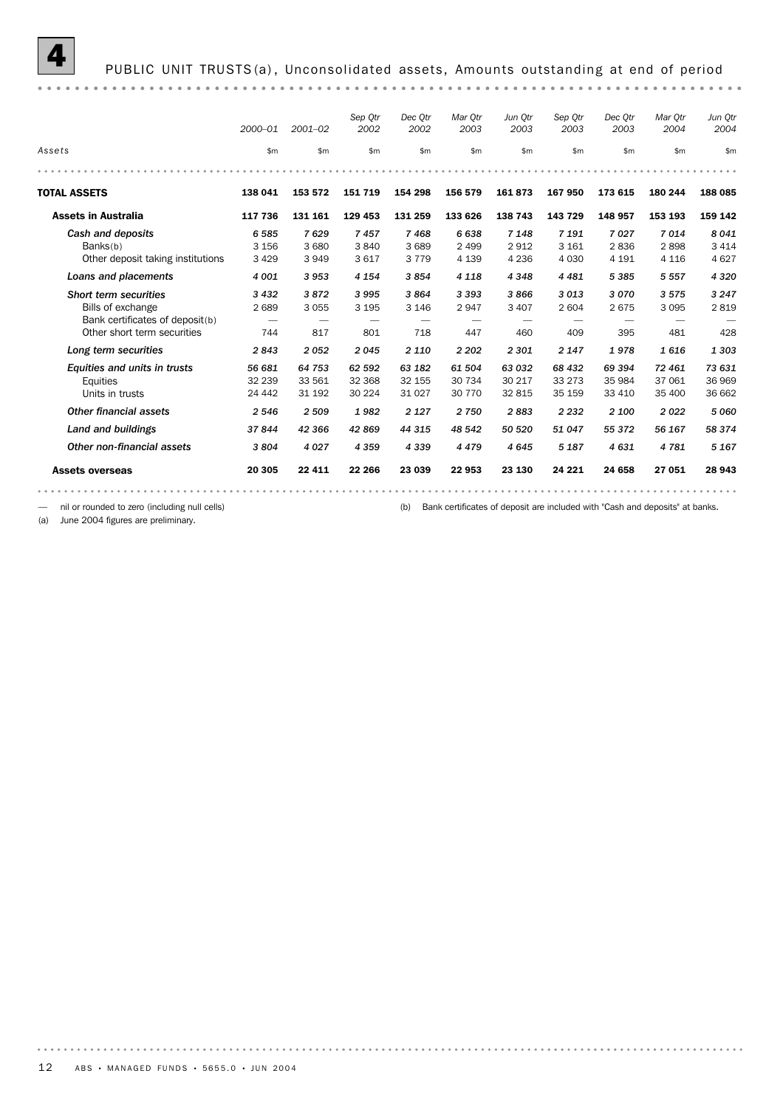|                                   | $2000 - 01$ | $2001 - 02$   | Sep Otr<br>2002 | Dec Otr<br>2002 | Mar Otr<br>2003 | Jun Otr<br>2003 | Sep Otr<br>2003 | Dec Otr<br>2003 | Mar Otr<br>2004 | Jun Otr<br>2004 |
|-----------------------------------|-------------|---------------|-----------------|-----------------|-----------------|-----------------|-----------------|-----------------|-----------------|-----------------|
| Assets                            | \$m         | $\mathsf{Sm}$ | \$m\$           | \$m             | \$m             | \$m             | $\mathsf{m}$    | \$m             | \$m             | \$m             |
|                                   |             |               |                 |                 |                 |                 |                 |                 |                 |                 |
| <b>TOTAL ASSETS</b>               | 138 041     | 153 572       | 151 719         | 154 298         | 156 579         | 161873          | 167 950         | 173 615         | 180 244         | 188 085         |
| <b>Assets in Australia</b>        | 117 736     | 131 161       | 129 453         | 131 259         | 133 626         | 138 743         | 143 729         | 148 957         | 153 193         | 159 142         |
| Cash and deposits                 | 6585        | 7629          | 7457            | 7468            | 6638            | 7 1 4 8         | 7 1 9 1         | 7027            | 7014            | 8041            |
| Banks(b)                          | 3 1 5 6     | 3 6 8 0       | 3840            | 3 6 8 9         | 2 4 9 9         | 2912            | 3 1 6 1         | 2836            | 2898            | 3 4 1 4         |
| Other deposit taking institutions | 3 4 2 9     | 3949          | 3617            | 3 7 7 9         | 4 1 3 9         | 4 2 3 6         | 4 0 3 0         | 4 1 9 1         | 4 1 1 6         | 4627            |
| Loans and placements              | 4 0 0 1     | 3953          | 4 1 5 4         | 3854            | 4 1 1 8         | 4 3 4 8         | 4 4 8 1         | 5 3 8 5         | 5 5 5 7         | 4 3 2 0         |
| Short term securities             | 3 4 3 2     | 3872          | 3995            | 3864            | 3 3 9 3         | 3866            | 3013            | 3070            | 3575            | 3 2 4 7         |
| Bills of exchange                 | 2689        | 3055          | 3 1 9 5         | 3 1 4 6         | 2947            | 3 4 0 7         | 2 604           | 2675            | 3 0 9 5         | 2819            |
| Bank certificates of deposit(b)   |             |               |                 |                 |                 |                 |                 |                 |                 |                 |
| Other short term securities       | 744         | 817           | 801             | 718             | 447             | 460             | 409             | 395             | 481             | 428             |
| Long term securities              | 2843        | 2052          | 2045            | 2 1 1 0         | 2 2 0 2         | 2 3 0 1         | 2 1 4 7         | 1978            | 1616            | 1 3 0 3         |
| Equities and units in trusts      | 56 681      | 64 753        | 62 592          | 63 182          | 61 504          | 63 032          | 68 432          | 69 394          | 72 461          | 73 631          |
| Equities                          | 32 239      | 33 561        | 32 368          | 32 155          | 30 734          | 30 217          | 33 2 7 3        | 35 984          | 37 061          | 36 969          |
| Units in trusts                   | 24 4 4 2    | 31 192        | 30 224          | 31 0 27         | 30 7 70         | 32 815          | 35 159          | 33 410          | 35 400          | 36 662          |
| Other financial assets            | 2546        | 2 5 0 9       | 1982            | 2 1 2 7         | 2750            | 2883            | 2 2 3 2         | 2 100           | 2022            | 5 0 6 0         |
| Land and buildings                | 37844       | 42 366        | 42 869          | 44 315          | 48 542          | 50 520          | 51 047          | 55 372          | 56 167          | 58 374          |
| Other non-financial assets        | 3804        | 4 0 2 7       | 4 3 5 9         | 4 3 3 9         | 4479            | 4645            | 5 1 8 7         | 4631            | 4781            | 5 1 6 7         |
| <b>Assets overseas</b>            | 20 305      | 22 4 11       | 22 266          | 23 039          | 22 953          | 23 130          | 24 221          | 24 658          | 27 051          | 28 943          |
|                                   |             |               |                 |                 |                 |                 |                 |                 |                 |                 |

— nil or rounded to zero (including null cells) (b) Bank certificates of deposit are included with "Cash and deposits" at banks.

(a) June 2004 figures are preliminary.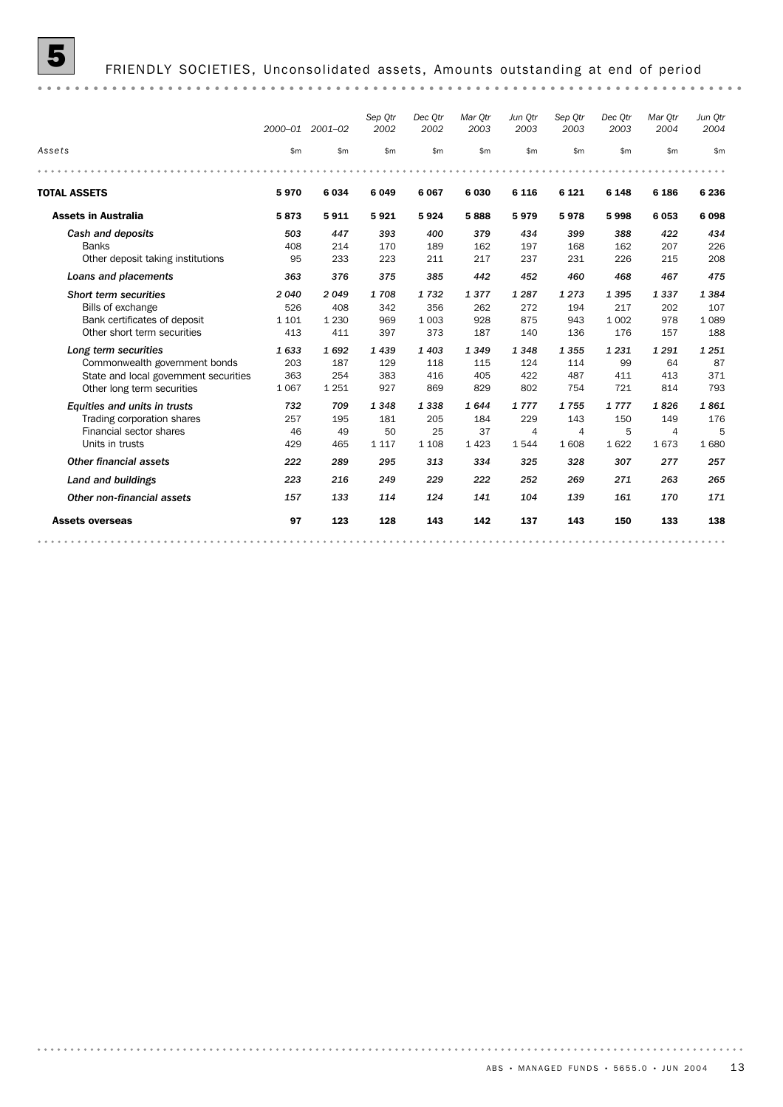

|                                       |         | 2000-01 2001-02 | Sep Qtr<br>2002 | Dec Otr<br>2002 | Mar Otr<br>2003 | Jun Otr<br>2003 | Sep Qtr<br>2003 | Dec Otr<br>2003 | Mar Otr<br>2004 | Jun Otr<br>2004 |
|---------------------------------------|---------|-----------------|-----------------|-----------------|-----------------|-----------------|-----------------|-----------------|-----------------|-----------------|
| Assets                                | \$m\$   | \$m\$           | \$m             | \$m             | \$m\$           | \$m             | \$m             | \$m             | \$m             | \$m             |
|                                       |         |                 |                 |                 |                 |                 |                 |                 |                 |                 |
| <b>TOTAL ASSETS</b>                   | 5970    | 6034            | 6049            | 6 0 6 7         | 6 0 3 0         | 6 1 1 6         | 6 1 2 1         | 6 1 4 8         | 6 186           | 6 2 3 6         |
| <b>Assets in Australia</b>            | 5873    | 5911            | 5921            | 5924            | 5888            | 5979            | 5978            | 5998            | 6053            | 6098            |
| Cash and deposits                     | 503     | 447             | 393             | 400             | 379             | 434             | 399             | 388             | 422             | 434             |
| <b>Banks</b>                          | 408     | 214             | 170             | 189             | 162             | 197             | 168             | 162             | 207             | 226             |
| Other deposit taking institutions     | 95      | 233             | 223             | 211             | 217             | 237             | 231             | 226             | 215             | 208             |
| Loans and placements                  | 363     | 376             | 375             | 385             | 442             | 452             | 460             | 468             | 467             | 475             |
| Short term securities                 | 2040    | 2049            | 1708            | 1732            | 1377            | 1 2 8 7         | 1273            | 1395            | 1337            | 1384            |
| Bills of exchange                     | 526     | 408             | 342             | 356             | 262             | 272             | 194             | 217             | 202             | 107             |
| Bank certificates of deposit          | 1 1 0 1 | 1 2 3 0         | 969             | 1 0 0 3         | 928             | 875             | 943             | 1 0 0 2         | 978             | 1 0 8 9         |
| Other short term securities           | 413     | 411             | 397             | 373             | 187             | 140             | 136             | 176             | 157             | 188             |
| Long term securities                  | 1633    | 1692            | 1439            | 1 4 0 3         | 1349            | 1348            | 1355            | 1 2 3 1         | 1 2 9 1         | 1251            |
| Commonwealth government bonds         | 203     | 187             | 129             | 118             | 115             | 124             | 114             | 99              | 64              | 87              |
| State and local government securities | 363     | 254             | 383             | 416             | 405             | 422             | 487             | 411             | 413             | 371             |
| Other long term securities            | 1 0 6 7 | 1 2 5 1         | 927             | 869             | 829             | 802             | 754             | 721             | 814             | 793             |
| Equities and units in trusts          | 732     | 709             | 1348            | 1338            | 1644            | 1777            | 1755            | 1777            | 1826            | 1861            |
| Trading corporation shares            | 257     | 195             | 181             | 205             | 184             | 229             | 143             | 150             | 149             | 176             |
| Financial sector shares               | 46      | 49              | 50              | 25              | 37              | $\overline{4}$  | 4               | 5               | 4               | 5               |
| Units in trusts                       | 429     | 465             | 1 1 1 7         | 1 1 0 8         | 1423            | 1544            | 1608            | 1622            | 1673            | 1680            |
| Other financial assets                | 222     | 289             | 295             | 313             | 334             | 325             | 328             | 307             | 277             | 257             |
| Land and buildings                    | 223     | 216             | 249             | 229             | 222             | 252             | 269             | 271             | 263             | 265             |
| Other non-financial assets            | 157     | 133             | 114             | 124             | 141             | 104             | 139             | 161             | 170             | 171             |
| <b>Assets overseas</b>                | 97      | 123             | 128             | 143             | 142             | 137             | 143             | 150             | 133             | 138             |
|                                       |         |                 |                 |                 |                 |                 |                 |                 |                 |                 |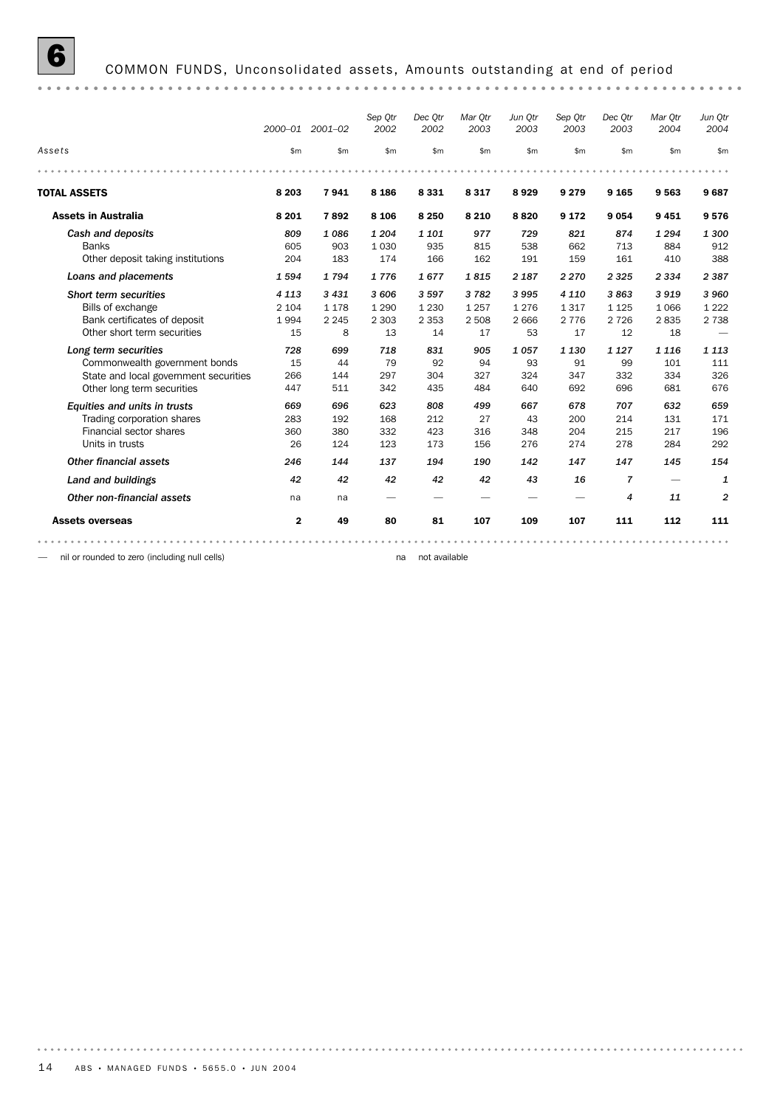## 6 COMMON FUNDS, Unconsolidated assets, Amounts outstanding at end of period

|                                       |              | 2000-01 2001-02 | Sep Otr<br>2002 | Dec Otr<br>2002 | Mar Otr<br>2003 | Jun Otr<br>2003 | Sep Otr<br>2003 | Dec Otr<br>2003 | Mar Otr<br>2004          | Jun Otr<br>2004 |
|---------------------------------------|--------------|-----------------|-----------------|-----------------|-----------------|-----------------|-----------------|-----------------|--------------------------|-----------------|
| Assets                                | \$m          | \$m             | \$m\$           | \$m             | \$m             | \$m\$           | \$m             | \$m             | \$m\$                    | \$m             |
|                                       |              |                 |                 |                 |                 |                 |                 |                 |                          |                 |
| <b>TOTAL ASSETS</b>                   | 8 2 0 3      | 7941            | 8 1 8 6         | 8 3 3 1         | 8317            | 8929            | 9 2 7 9         | 9 1 65          | 9563                     | 9687            |
| <b>Assets in Australia</b>            | 8 2 0 1      | 7892            | 8 1 0 6         | 8 2 5 0         | 8 2 1 0         | 8820            | 9 1 7 2         | 9 0 5 4         | 9451                     | 9576            |
| Cash and deposits                     | 809          | 1086            | 1 204           | 1 1 0 1         | 977             | 729             | 821             | 874             | 1 2 9 4                  | 1 300           |
| <b>Banks</b>                          | 605          | 903             | 1 0 3 0         | 935             | 815             | 538             | 662             | 713             | 884                      | 912             |
| Other deposit taking institutions     | 204          | 183             | 174             | 166             | 162             | 191             | 159             | 161             | 410                      | 388             |
| Loans and placements                  | 1594         | 1794            | 1776            | 1677            | 1815            | 2 1 8 7         | 2 2 7 0         | 2 3 2 5         | 2 3 3 4                  | 2 3 8 7         |
| Short term securities                 | 4 1 1 3      | 3 4 3 1         | 3 606           | 3597            | 3782            | 3995            | 4 1 1 0         | 3863            | 3919                     | 3960            |
| Bills of exchange                     | 2 1 0 4      | 1 1 7 8         | 1 2 9 0         | 1 2 3 0         | 1 2 5 7         | 1 2 7 6         | 1317            | 1 1 2 5         | 1 0 6 6                  | 1 2 2 2         |
| Bank certificates of deposit          | 1994         | 2 2 4 5         | 2 3 0 3         | 2 3 5 3         | 2 5 0 8         | 2 6 6 6         | 2 7 7 6         | 2 7 2 6         | 2835                     | 2 7 3 8         |
| Other short term securities           | 15           | 8               | 13              | 14              | 17              | 53              | 17              | 12              | 18                       |                 |
| Long term securities                  | 728          | 699             | 718             | 831             | 905             | 1057            | 1 1 3 0         | 1 1 2 7         | 1 1 1 6                  | 1 1 1 3         |
| Commonwealth government bonds         | 15           | 44              | 79              | 92              | 94              | 93              | 91              | 99              | 101                      | 111             |
| State and local government securities | 266          | 144             | 297             | 304             | 327             | 324             | 347             | 332             | 334                      | 326             |
| Other long term securities            | 447          | 511             | 342             | 435             | 484             | 640             | 692             | 696             | 681                      | 676             |
| Equities and units in trusts          | 669          | 696             | 623             | 808             | 499             | 667             | 678             | 707             | 632                      | 659             |
| Trading corporation shares            | 283          | 192             | 168             | 212             | 27              | 43              | 200             | 214             | 131                      | 171             |
| Financial sector shares               | 360          | 380             | 332             | 423             | 316             | 348             | 204             | 215             | 217                      | 196             |
| Units in trusts                       | 26           | 124             | 123             | 173             | 156             | 276             | 274             | 278             | 284                      | 292             |
| Other financial assets                | 246          | 144             | 137             | 194             | 190             | 142             | 147             | 147             | 145                      | 154             |
| Land and buildings                    | 42           | 42              | 42              | 42              | 42              | 43              | 16              | 7               | $\overline{\phantom{a}}$ | 1               |
| Other non-financial assets            | na           | na              |                 |                 |                 |                 |                 | $\overline{4}$  | 11                       | $\overline{2}$  |
| <b>Assets overseas</b>                | $\mathbf{2}$ | 49              | 80              | 81              | 107             | 109             | 107             | 111             | 112                      | 111             |
|                                       |              |                 |                 |                 |                 |                 |                 |                 |                          |                 |

— nil or rounded to zero (including null cells) na not available na not available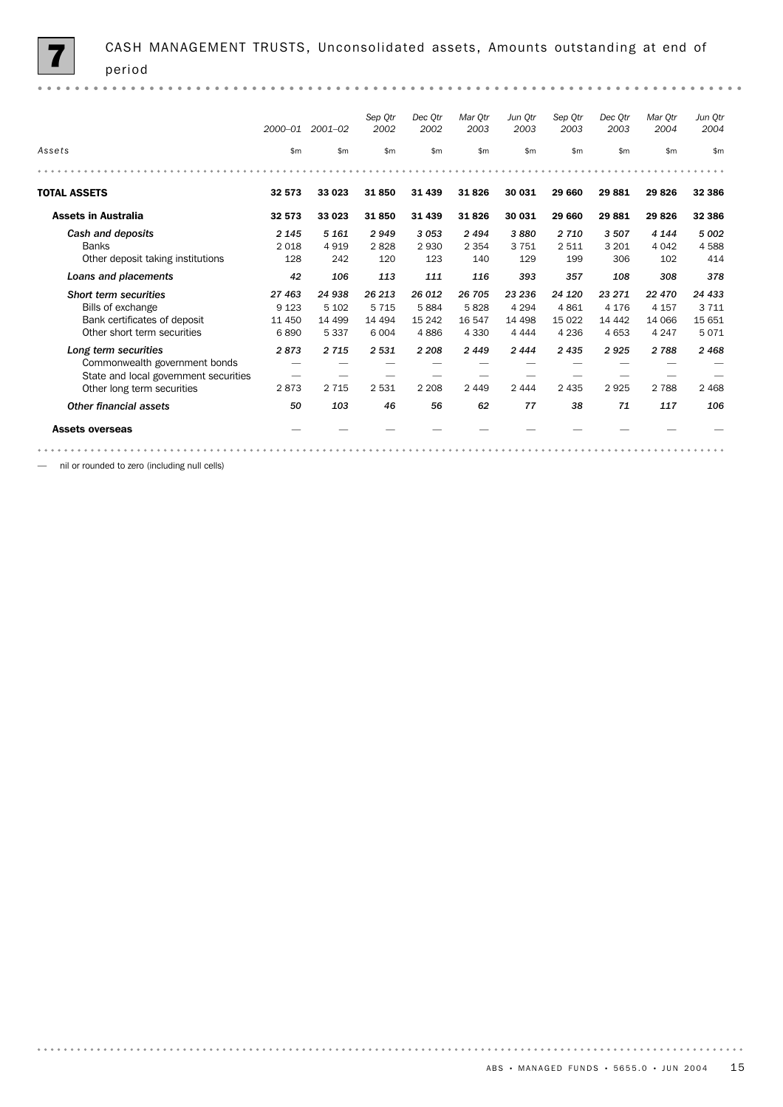|                                       | 2000-01 | 2001-02  | Sep Otr<br>2002 | Dec Otr<br>2002 | Mar Otr<br>2003 | Jun Otr<br>2003 | Sep Otr<br>2003 | Dec Otr<br>2003 | Mar Otr<br>2004 | Jun Otr<br>2004 |
|---------------------------------------|---------|----------|-----------------|-----------------|-----------------|-----------------|-----------------|-----------------|-----------------|-----------------|
| Assets                                | \$m     | \$m\$    | \$m             | \$m             | \$m             | \$m             | \$m             | \$m             | \$m             | \$m             |
|                                       |         |          |                 |                 |                 |                 |                 |                 |                 |                 |
| <b>TOTAL ASSETS</b>                   | 32 573  | 33 023   | 31850           | 31 4 39         | 31826           | 30 031          | 29 660          | 29881           | 29826           | 32 386          |
| <b>Assets in Australia</b>            | 32 573  | 33 023   | 31850           | 31 439          | 31826           | 30 031          | 29 660          | 29881           | 29826           | 32 386          |
| Cash and deposits                     | 2 1 4 5 | 5 1 6 1  | 2949            | 3053            | 2 4 9 4         | 3880            | 2 7 1 0         | 3507            | 4 1 4 4         | 5 0 0 2         |
| <b>Banks</b>                          | 2 0 18  | 4919     | 2828            | 2930            | 2 3 5 4         | 3751            | 2 5 1 1         | 3 2 0 1         | 4 0 4 2         | 4588            |
| Other deposit taking institutions     | 128     | 242      | 120             | 123             | 140             | 129             | 199             | 306             | 102             | 414             |
| Loans and placements                  | 42      | 106      | 113             | 111             | 116             | 393             | 357             | 108             | 308             | 378             |
| Short term securities                 | 27 463  | 24 938   | 26 213          | 26 012          | 26 705          | 23 236          | 24 120          | 23 271          | 22 470          | 24 433          |
| Bills of exchange                     | 9 1 2 3 | 5 1 0 2  | 5 7 1 5         | 5884            | 5828            | 4 2 9 4         | 4861            | 4 1 7 6         | 4 1 5 7         | 3 7 1 1         |
| Bank certificates of deposit          | 11 450  | 14 4 9 9 | 14 4 94         | 15 242          | 16 547          | 14 498          | 15 0 22         | 14 442          | 14 066          | 15 651          |
| Other short term securities           | 6890    | 5 3 3 7  | 6 0 0 4         | 4886            | 4 3 3 0         | 4 4 4 4         | 4 2 3 6         | 4 6 5 3         | 4 2 4 7         | 5071            |
| Long term securities                  | 2873    | 2 7 1 5  | 2 5 3 1         | 2 2 0 8         | 2449            | 2444            | 2 4 3 5         | 2925            | 2 7 8 8         | 2468            |
| Commonwealth government bonds         |         |          |                 |                 |                 |                 |                 |                 |                 |                 |
| State and local government securities |         |          |                 |                 |                 |                 |                 |                 |                 |                 |
| Other long term securities            | 2873    | 2 7 1 5  | 2 5 3 1         | 2 2 0 8         | 2 4 4 9         | 2 4 4 4         | 2 4 3 5         | 2925            | 2 7 8 8         | 2 4 6 8         |
| Other financial assets                | 50      | 103      | 46              | 56              | 62              | 77              | 38              | 71              | 117             | 106             |
| <b>Assets overseas</b>                |         |          |                 |                 |                 |                 |                 |                 |                 |                 |
|                                       |         |          |                 |                 |                 |                 |                 |                 |                 |                 |

— nil or rounded to zero (including null cells)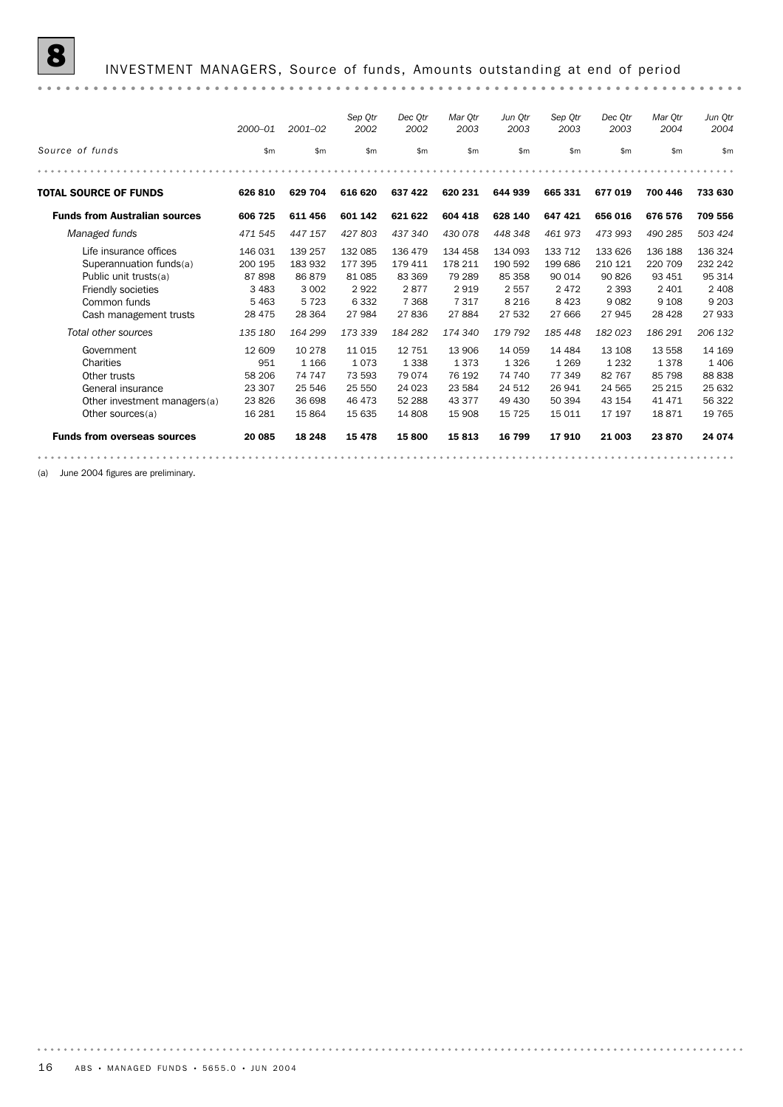## 8 INVESTMENT MANAGERS, Source of funds, Amounts outstanding at end of period

|                                                                                                                                                                   | 2000-01                                                                  | $2001 - 02$                                                             | Sep Otr<br>2002                                                      | Dec Otr<br>2002                                                     | Mar Otr<br>2003                                                  | Jun Otr<br>2003                                                         | Sep Qtr<br>2003                                                     | Dec Otr<br>2003                                                    | Mar Otr<br>2004                                                          | Jun Qtr<br>2004                                                        |
|-------------------------------------------------------------------------------------------------------------------------------------------------------------------|--------------------------------------------------------------------------|-------------------------------------------------------------------------|----------------------------------------------------------------------|---------------------------------------------------------------------|------------------------------------------------------------------|-------------------------------------------------------------------------|---------------------------------------------------------------------|--------------------------------------------------------------------|--------------------------------------------------------------------------|------------------------------------------------------------------------|
| Source of funds                                                                                                                                                   | \$m                                                                      | \$m\$                                                                   | \$m                                                                  | \$m                                                                 | \$m                                                              | \$m                                                                     | \$m                                                                 | $\mathsf{m}$                                                       | \$m                                                                      | \$m                                                                    |
|                                                                                                                                                                   |                                                                          |                                                                         |                                                                      |                                                                     |                                                                  |                                                                         |                                                                     |                                                                    |                                                                          |                                                                        |
| <b>TOTAL SOURCE OF FUNDS</b>                                                                                                                                      | 626 810                                                                  | 629 704                                                                 | 616 620                                                              | 637 422                                                             | 620 231                                                          | 644 939                                                                 | 665 331                                                             | 677 019                                                            | 700 446                                                                  | 733 630                                                                |
| <b>Funds from Australian sources</b>                                                                                                                              | 606 725                                                                  | 611 456                                                                 | 601 142                                                              | 621 622                                                             | 604 418                                                          | 628 140                                                                 | 647 421                                                             | 656 016                                                            | 676 576                                                                  | 709 556                                                                |
| Managed funds                                                                                                                                                     | 471 545                                                                  | 447 157                                                                 | 427803                                                               | 437 340                                                             | 430 078                                                          | 448 348                                                                 | 461973                                                              | 473 993                                                            | 490 285                                                                  | 503 424                                                                |
| Life insurance offices<br>Superannuation funds(a)<br>Public unit trusts(a)<br>Friendly societies<br>Common funds<br>Cash management trusts<br>Total other sources | 146 031<br>200 195<br>87898<br>3 4 8 3<br>5 4 6 3<br>28 4 7 5<br>135 180 | 139 257<br>183 932<br>86879<br>3 0 0 2<br>5 7 2 3<br>28 3 64<br>164 299 | 132 085<br>177 395<br>81 085<br>2922<br>6 3 3 2<br>27 984<br>173 339 | 136 479<br>179 411<br>83 369<br>2877<br>7 3 6 8<br>27836<br>184 282 | 134 458<br>178 211<br>79 289<br>2919<br>7317<br>27884<br>174 340 | 134 093<br>190 592<br>85 358<br>2 5 5 7<br>8 2 1 6<br>27 532<br>179 792 | 133 712<br>199686<br>90 014<br>2472<br>8 4 2 3<br>27 666<br>185 448 | 133 626<br>210 121<br>90826<br>2 3 9 3<br>9082<br>27945<br>182 023 | 136 188<br>220 709<br>93 451<br>2 4 0 1<br>9 1 0 8<br>28 4 28<br>186 291 | 136 324<br>232 242<br>95 314<br>2 4 0 8<br>9 2 0 3<br>27933<br>206 132 |
| Government<br>Charities<br>Other trusts<br>General insurance<br>Other investment managers(a)<br>Other sources(a)                                                  | 12 609<br>951<br>58 206<br>23 307<br>23826<br>16 28 1                    | 10 278<br>1 1 6 6<br>74 747<br>25 546<br>36 698<br>15 8 64              | 11 0 15<br>1073<br>73 593<br>25 550<br>46 473<br>15 635              | 12 751<br>1 3 3 8<br>79 0 74<br>24 0 23<br>52 288<br>14 808         | 13 906<br>1373<br>76 192<br>23 5 84<br>43 377<br>15 908          | 14 059<br>1 3 2 6<br>74 740<br>24 512<br>49 430<br>15 7 25              | 14 4 84<br>1 2 6 9<br>77 349<br>26 941<br>50 394<br>15 011          | 13 108<br>1 2 3 2<br>82 767<br>24 5 65<br>43 154<br>17 197         | 13 558<br>1378<br>85 798<br>25 215<br>41 471<br>18871                    | 14 169<br>1 4 0 6<br>88 838<br>25 632<br>56 322<br>19 7 65             |
| <b>Funds from overseas sources</b>                                                                                                                                | 20 085                                                                   | 18 24 8                                                                 | 15 4 78                                                              | 15800                                                               | 15813                                                            | 16 799                                                                  | 17910                                                               | 21 003                                                             | 23 870                                                                   | 24 074                                                                 |
|                                                                                                                                                                   |                                                                          |                                                                         |                                                                      |                                                                     |                                                                  |                                                                         |                                                                     |                                                                    |                                                                          |                                                                        |

(a) June 2004 figures are preliminary.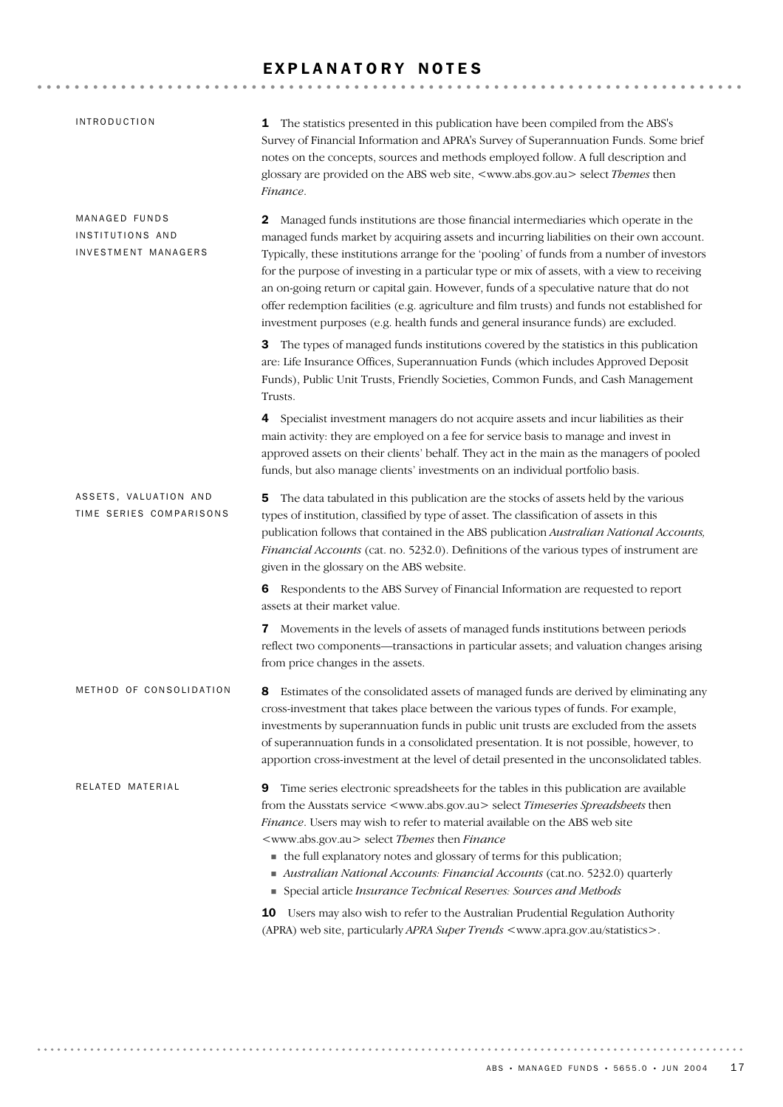## EXPLANATORY NOTES

| <b>INTRODUCTION</b>                                      | The statistics presented in this publication have been compiled from the ABS's<br>1<br>Survey of Financial Information and APRA's Survey of Superannuation Funds. Some brief<br>notes on the concepts, sources and methods employed follow. A full description and<br>glossary are provided on the ABS web site, <www.abs.gov.au> select Themes then<br/>Finance.</www.abs.gov.au>                                                                                                                                                                                                                                                                                    |
|----------------------------------------------------------|-----------------------------------------------------------------------------------------------------------------------------------------------------------------------------------------------------------------------------------------------------------------------------------------------------------------------------------------------------------------------------------------------------------------------------------------------------------------------------------------------------------------------------------------------------------------------------------------------------------------------------------------------------------------------|
| MANAGED FUNDS<br>INSTITUTIONS AND<br>INVESTMENT MANAGERS | Managed funds institutions are those financial intermediaries which operate in the<br>2<br>managed funds market by acquiring assets and incurring liabilities on their own account.<br>Typically, these institutions arrange for the 'pooling' of funds from a number of investors<br>for the purpose of investing in a particular type or mix of assets, with a view to receiving<br>an on-going return or capital gain. However, funds of a speculative nature that do not<br>offer redemption facilities (e.g. agriculture and film trusts) and funds not established for<br>investment purposes (e.g. health funds and general insurance funds) are excluded.     |
|                                                          | The types of managed funds institutions covered by the statistics in this publication<br>3<br>are: Life Insurance Offices, Superannuation Funds (which includes Approved Deposit<br>Funds), Public Unit Trusts, Friendly Societies, Common Funds, and Cash Management<br>Trusts.                                                                                                                                                                                                                                                                                                                                                                                      |
|                                                          | 4 Specialist investment managers do not acquire assets and incur liabilities as their<br>main activity: they are employed on a fee for service basis to manage and invest in<br>approved assets on their clients' behalf. They act in the main as the managers of pooled<br>funds, but also manage clients' investments on an individual portfolio basis.                                                                                                                                                                                                                                                                                                             |
| ASSETS, VALUATION AND<br>TIME SERIES COMPARISONS         | The data tabulated in this publication are the stocks of assets held by the various<br>5<br>types of institution, classified by type of asset. The classification of assets in this<br>publication follows that contained in the ABS publication Australian National Accounts,<br>Financial Accounts (cat. no. 5232.0). Definitions of the various types of instrument are<br>given in the glossary on the ABS website.                                                                                                                                                                                                                                               |
|                                                          | 6 Respondents to the ABS Survey of Financial Information are requested to report<br>assets at their market value.                                                                                                                                                                                                                                                                                                                                                                                                                                                                                                                                                     |
|                                                          | Movements in the levels of assets of managed funds institutions between periods<br>7<br>reflect two components-transactions in particular assets; and valuation changes arising<br>from price changes in the assets.                                                                                                                                                                                                                                                                                                                                                                                                                                                  |
| METHOD OF CONSOLIDATION                                  | Estimates of the consolidated assets of managed funds are derived by eliminating any<br>8<br>cross-investment that takes place between the various types of funds. For example,<br>investments by superannuation funds in public unit trusts are excluded from the assets<br>of superannuation funds in a consolidated presentation. It is not possible, however, to<br>apportion cross-investment at the level of detail presented in the unconsolidated tables.                                                                                                                                                                                                     |
| RELATED MATERIAL                                         | Time series electronic spreadsheets for the tables in this publication are available<br>9<br>from the Ausstats service <www.abs.gov.au> select Timeseries Spreadsheets then<br/>Finance. Users may wish to refer to material available on the ABS web site<br/><www.abs.gov.au> select Themes then Finance<br/>• the full explanatory notes and glossary of terms for this publication;<br/>Australian National Accounts: Financial Accounts (cat.no. 5232.0) quarterly<br/>Special article Insurance Technical Reserves: Sources and Methods<br/>10 Users may also wish to refer to the Australian Prudential Regulation Authority</www.abs.gov.au></www.abs.gov.au> |
|                                                          | (APRA) web site, particularly APRA Super Trends <www.apra.gov.au statistics="">.</www.apra.gov.au>                                                                                                                                                                                                                                                                                                                                                                                                                                                                                                                                                                    |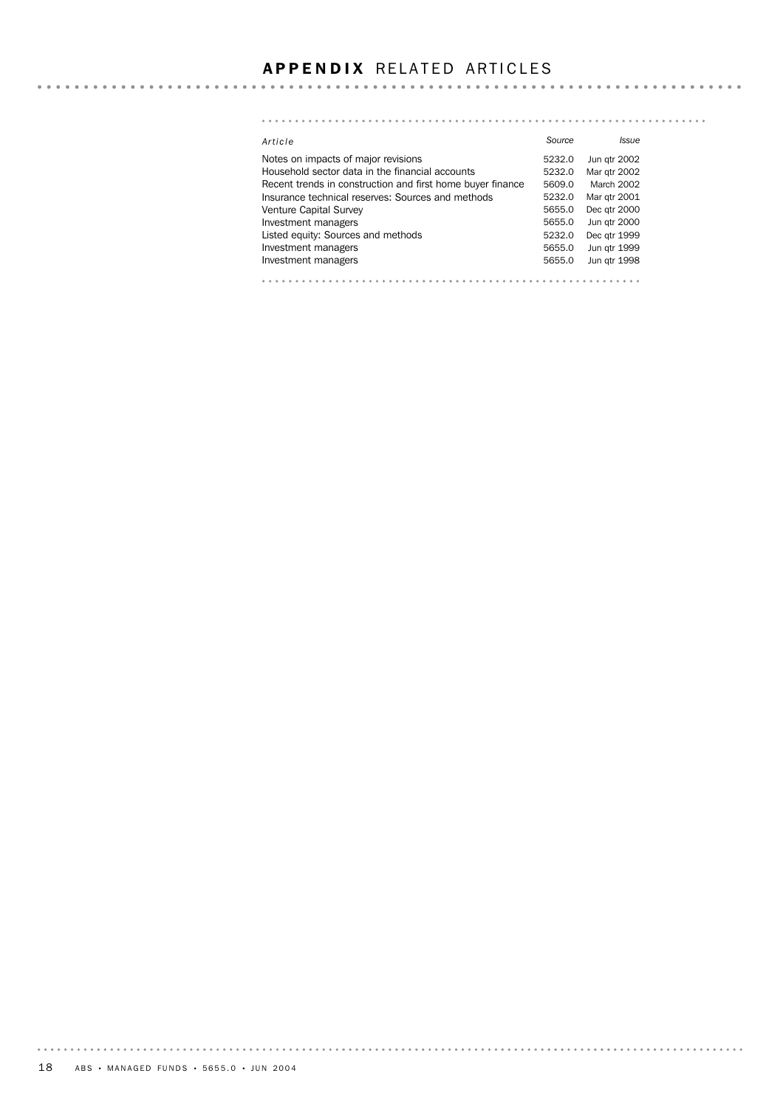## **APPENDIX RELATED ARTICLES**

#### *Article Source Issue* Notes on impacts of major revisions **5232.0** Jun qtr 2002 Household sector data in the financial accounts 5232.0 Mar qtr 2002 Recent trends in construction and first home buyer finance 5609.0 March 2002 Insurance technical reserves: Sources and methods 5232.0 Mar qtr 2001 Venture Capital Survey **6651.0 Community** 5655.0 Dec qtr 2000 Investment managers 1999 and 1999 and 1999 and 1999 and 1999 and 1999 and 1999 and 1999 and 1999 and 1999 and 1999 and 1999 and 1999 and 1999 and 1999 and 1999 and 1999 and 1999 and 1999 and 1999 and 1999 and 1999 and 1999 Listed equity: Sources and methods 5232.0 Dec qtr 1999 Investment managers **1999** Investment managers Investment managers **1998**<br>Investment managers **5655.0** Jun qtr 1998

. . . . . . . . . .